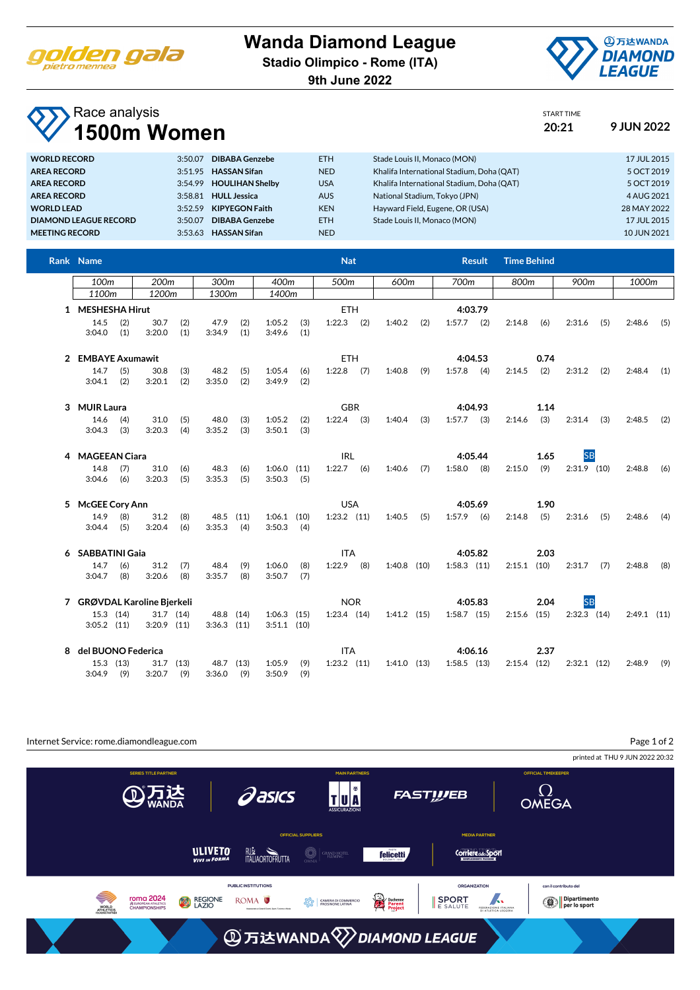

## **Wanda Diamond League**

**Stadio Olimpico - Rome (ITA)**

**9th June 2022**



START TIME

## Race analysis **1500m Women 20:21 9 JUN 2022**

| <b>DIBABA Genzebe</b><br><b>WORLD RECORD</b><br>3:50.07          | <b>ETH</b> | Stade Louis II. Monaco (MON)              | 17 JUL 2015 |
|------------------------------------------------------------------|------------|-------------------------------------------|-------------|
| <b>HASSAN Sifan</b><br><b>AREA RECORD</b><br>3:51.95             | <b>NED</b> | Khalifa International Stadium, Doha (OAT) | 5 OCT 2019  |
| <b>HOULIHAN Shelby</b><br><b>AREA RECORD</b><br>3:54.99          | <b>USA</b> | Khalifa International Stadium, Doha (OAT) | 5 OCT 2019  |
| <b>HULL Jessica</b><br><b>AREA RECORD</b><br>3:58.81             | <b>AUS</b> | National Stadium, Tokyo (JPN)             | 4 AUG 2021  |
| <b>KIPYEGON Faith</b><br><b>WORLD LEAD</b><br>3:52.59            | <b>KEN</b> | Hayward Field, Eugene, OR (USA)           | 28 MAY 2022 |
| <b>DIBABA Genzebe</b><br><b>DIAMOND LEAGUE RECORD</b><br>3:50.07 | <b>ETH</b> | Stade Louis II. Monaco (MON)              | 17 JUL 2015 |
| <b>HASSAN Sifan</b><br><b>MEETING RECORD</b><br>3:53.63          | <b>NED</b> |                                           | 10 JUN 2021 |

| Rank Name                   |     |                  |             |                 |           |                 |       | <b>Nat</b>      |            |                 |     |                 | <b>Result</b> | <b>Time Behind</b> |      |               |     |               |     |
|-----------------------------|-----|------------------|-------------|-----------------|-----------|-----------------|-------|-----------------|------------|-----------------|-----|-----------------|---------------|--------------------|------|---------------|-----|---------------|-----|
| 100 <sub>m</sub>            |     | 200 <sub>m</sub> |             | 300m            |           | 400m            |       | 500m            |            | 600m            |     | 700m            |               | 800m               |      | 900m          |     | 1000m         |     |
| 1100m                       |     | 1200m            |             | 1300m           |           |                 | 1400m |                 |            |                 |     |                 |               |                    |      |               |     |               |     |
| 1 MESHESHA Hirut            |     |                  |             |                 |           |                 |       | <b>ETH</b>      |            |                 |     |                 | 4:03.79       |                    |      |               |     |               |     |
| 14.5                        | (2) | 30.7             | (2)         | 47.9            | (2)       | 1:05.2          | (3)   | 1:22.3          | (2)        | 1:40.2          | (2) | $1:57.7$ (2)    |               | 2:14.8             | (6)  | 2:31.6        | (5) | 2:48.6        | (5) |
| 3:04.0                      | (1) | 3:20.0           | (1)         | 3:34.9          | (1)       | 3:49.6          | (1)   |                 |            |                 |     |                 |               |                    |      |               |     |               |     |
| 2 EMBAYE Axumawit           |     |                  |             |                 |           |                 |       | <b>ETH</b>      |            |                 |     | 4:04.53         |               | 0.74               |      |               |     |               |     |
| 14.7                        | (5) | 30.8             | (3)         | 48.2            | (5)       | 1:05.4          | (6)   | $1:22.8$ (7)    |            | 1:40.8          | (9) | 1:57.8          | (4)           | 2:14.5             | (2)  | 2:31.2        | (2) | 2:48.4        | (1) |
| 3:04.1                      | (2) | 3:20.1           | (2)         | 3:35.0          | (2)       | 3:49.9          | (2)   |                 |            |                 |     |                 |               |                    |      |               |     |               |     |
| 3 MUIR Laura                |     |                  |             |                 |           |                 |       |                 | <b>GBR</b> |                 |     | 4:04.93         |               |                    | 1.14 |               |     |               |     |
| 14.6                        | (4) | 31.0             | (5)         | 48.0            | (3)       | 1:05.2          | (2)   | $1:22.4$ (3)    |            | 1:40.4          | (3) | $1:57.7$ (3)    |               | 2:14.6             | (3)  | 2:31.4        | (3) | 2:48.5        | (2) |
| 3:04.3                      | (3) | 3:20.3           | (4)         | 3:35.2          | (3)       | 3:50.1          | (3)   |                 |            |                 |     |                 |               |                    |      |               |     |               |     |
| 4 MAGEEAN Ciara             |     |                  |             |                 |           |                 |       | <b>IRL</b>      |            |                 |     |                 | 4:05.44       |                    | 1.65 | <b>SB</b>     |     |               |     |
| 14.8                        | (7) | 31.0             | (6)         | 48.3            | (6)       | $1:06.0$ $(11)$ |       | $1:22.7$ (6)    |            | $1:40.6$ (7)    |     | 1:58.0          | (8)           | 2:15.0             | (9)  | $2:31.9$ (10) |     | 2:48.8        | (6) |
| 3:04.6                      | (6) | 3:20.3           | (5)         | 3:35.3          | (5)       | 3:50.3          | (5)   |                 |            |                 |     |                 |               |                    |      |               |     |               |     |
| 5 McGEE Cory Ann            |     |                  |             |                 |           |                 |       | <b>USA</b>      |            |                 |     |                 | 4:05.69       |                    | 1.90 |               |     |               |     |
| 14.9                        | (8) | 31.2             | (8)         |                 | 48.5 (11) | $1:06.1$ (10)   |       | $1:23.2$ $(11)$ |            | 1:40.5          | (5) | 1:57.9          | (6)           | 2:14.8             | (5)  | 2:31.6        | (5) | 2:48.6        | (4) |
| 3:04.4                      | (5) | 3:20.4           | (6)         | 3:35.3          | (4)       | 3:50.3          | (4)   |                 |            |                 |     |                 |               |                    |      |               |     |               |     |
| 6 SABBATINI Gaia            |     |                  |             |                 |           |                 |       | <b>ITA</b>      |            |                 |     | 4:05.82         |               | 2.03               |      |               |     |               |     |
| 14.7                        | (6) | 31.2             | (7)         | 48.4            | (9)       | 1:06.0          | (8)   | 1:22.9          | (8)        | $1:40.8$ (10)   |     | $1:58.3$ $(11)$ |               | $2:15.1$ (10)      |      | 2:31.7        | (7) | 2:48.8        | (8) |
| 3:04.7                      | (8) | 3:20.6           | (8)         | 3:35.7          | (8)       | 3:50.7          | (7)   |                 |            |                 |     |                 |               |                    |      |               |     |               |     |
| 7 GRØVDAL Karoline Bjerkeli |     |                  |             |                 |           |                 |       | <b>NOR</b>      |            |                 |     | 4:05.83         |               | 2.04               |      | <b>SB</b>     |     |               |     |
| 15.3 (14)                   |     |                  | $31.7$ (14) |                 | 48.8 (14) | $1:06.3$ $(15)$ |       | $1:23.4$ $(14)$ |            | $1:41.2$ (15)   |     | $1:58.7$ (15)   |               | $2:15.6$ (15)      |      | $2:32.3$ (14) |     | $2:49.1$ (11) |     |
| $3:05.2$ $(11)$             |     | $3:20.9$ (11)    |             | $3:36.3$ $(11)$ |           | $3:51.1$ (10)   |       |                 |            |                 |     |                 |               |                    |      |               |     |               |     |
| 8 del BUONO Federica        |     |                  |             |                 |           |                 |       | <b>ITA</b>      |            |                 |     |                 | 4:06.16       |                    | 2.37 |               |     |               |     |
| 15.3 (13)                   |     | 31.7             | (13)        |                 | 48.7 (13) | 1:05.9          | (9)   | $1:23.2$ $(11)$ |            | $1:41.0$ $(13)$ |     | $1:58.5$ (13)   |               | 2:15.4             | (12) | $2:32.1$ (12) |     | 2:48.9        | (9) |
| $3:04.9$ (9)                |     | 3:20.7           | (9)         | 3:36.0          | (9)       | 3:50.9          | (9)   |                 |            |                 |     |                 |               |                    |      |               |     |               |     |